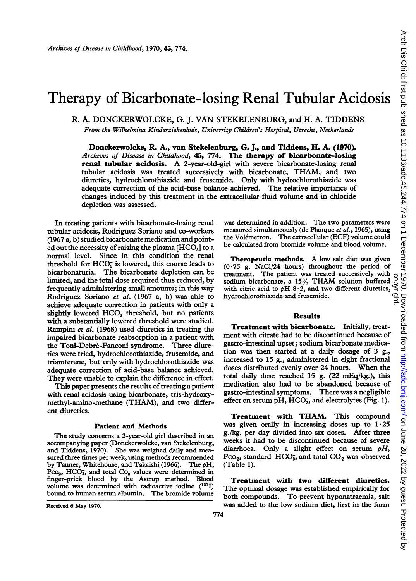# Therapy of Bicarbonate-losing Renal Tubular Acidosis

R. A. DONCKERWOLCKE, G. J. VAN STEKELENBURG, and H. A. TIDDENS

From the Wilhelmina Kinderziekenhuis, University Children's Hospital, Utrecht, Netherlands

Donckerwolcke, R. A., van Stekelenburg, G. J., and Tiddens, H. A. (1970). Archives of Disease in Childhood, 45, 774. The therapy of bicarbonate-losing renal tubular acidosis. A 2-year-old-girl with severe bicarbonate-losing renal tubular acidosis was treated successively with bicarbonate, THAM, and two diuretics, hydrochlorothiazide and frusemide. Only with hydrochlorothiazide was adequate correction of the acid-base balance achieved. The relative importance of changes induced by this treatment in the extracellular fluid volume and in chloride depletion was assessed.

In treating patients with bicarbonate-losing renal tubular acidosis, Rodriguez Soriano and co-workers (1967 a, b) studied bicarbonate medication and pointed out the necessity of raising the plasma [HCO<sub>3</sub>] to a normal level. Since in this condition the renal threshold for  $HCO<sub>3</sub>$  is lowered, this course leads to bicarbonaturia. The bicarbonate depletion can be limited, and the total dose required thus reduced, by frequently administering small amounts; in this way Rodriguez Soriano et al. (1967 a, b) was able to achieve adequate correction in patients with only a slightly lowered HCO<sub>3</sub> threshold, but no patients with a substantially lowered threshold were studied. Rampini et al. (1968) used diuretics in treating the impaired bicarbonate reabsorption in a patient with the Toni-Debré-Fanconi syndrome. Three diuretics were tried, hydrochlorothiazide, frusemide, and triamterene, but only with hydrochlorothiazide was adequate correction of acid-base balance achieved. They were unable to explain the difference in effect.

This paper presents the results of treating a patient with renal acidosis using bicarbonate, tris-hydroxymethyl-amino-methane (THAM), and two different diuretics.

#### Patient and Methods

The study concerns a 2-year-old girl described in an accompanying paper (Donckerwolcke, van Stekelenburg, and Tiddens, 1970). She was weighed daily and measured three times per week, using methods recommended by Tanner, Whitehouse, and Takaishi (1966). The  $pH$ ,  $PCO<sub>2</sub>$ , HCO<sub>3</sub>, and total  $Co<sub>2</sub>$  values were determined in finger-prick blood by the Astrup method. Blood volume was determined with radioactive iodine  $(^{131}I)$ bound to human serum albumin. The bromide volume was determined in addition. The two parameters were measured simultaneously (de Planque et al., 1965), using the Volémetron. The extracellular (ECF) volume could be calculated from bromide volume and blood volume.

Therapeutic methods. A low salt diet was given  $(0.75 \text{ g.}^T)$  NaCl/24 hours) throughout the period of treatment. The patient was treated successively with treatment. The patient was treated successively with sodium bicarbonate, <sup>a</sup> 15% THAM solution buffered with citric acid to  $pH$  8 $\cdot$ 2, and two different diuretics, reatment. The patient was treated successively with<br>sodium bicarbonate, a 15% THAM solution buffered complete<br>with citric acid to pH 8.2, and two different diuretics,

## Results

Treatment with bicarbonate. Initially, treatment with citrate had to be discontinued because of gastro-intestinal upset; sodium bicarbonate medication was then started at a daily dosage of 3 g., increased to 15 g., administered in eight fractional doses distributed evenly over 24 hours. When the total daily dose reached 15 g.  $(22 \text{ mEq/kg.})$ , this medication also had to be abandoned because of gastro-intestinal symptoms. There was a negligible effect on serum pH,  $HCO<sub>3</sub>$ , and electrolytes (Fig. 1).

Treatment with THAM. This compound was given orally in increasing doses up to  $1.25$ g./kg. per day divided into six doses. After three weeks it had to be discontinued because of severe diarrhoea. Only a slight effect on serum  $pH$ ,  $PCO<sub>2</sub>$ , standard  $HCO<sub>3</sub>$ , and total  $CO<sub>2</sub>$  was observed (Table I).

Treatment with two different diuretics. The optimal dosage was established empirically for both compounds. To prevent hyponatraemia, salt was added to the low sodium diet, first in the form

Received 6 May 1970.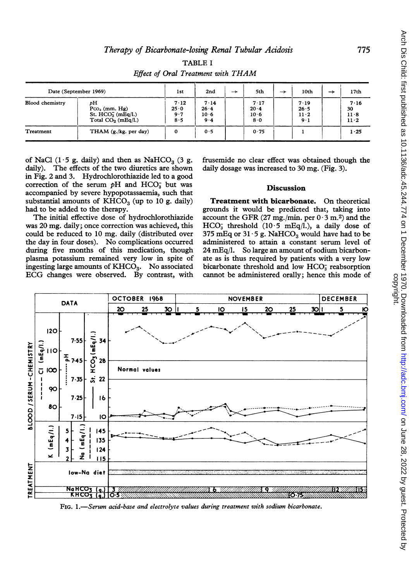| Lifect of Oral Treatment with T11111111 |                                                                        |                            |                                        |               |                                 |               |                                       |   |                              |  |
|-----------------------------------------|------------------------------------------------------------------------|----------------------------|----------------------------------------|---------------|---------------------------------|---------------|---------------------------------------|---|------------------------------|--|
| Date (September 1969)                   |                                                                        | 1st                        | 2nd                                    | $\rightarrow$ | 5th                             | $\rightarrow$ | 10th                                  | → | 17th                         |  |
| <b>Blood chemistry</b>                  | pН<br>$PCO2$ (mm. Hg)<br>St. $HCO_3^-(mEq/l.)$<br>Total $CO2$ (mEq/l.) | 7.12<br>25.0<br>9.7<br>8.5 | 7.14<br>26.4<br>10 <sub>6</sub><br>9.4 |               | 7.17<br>20.4<br>$10 - 6$<br>8.0 |               | 7.19<br>26.5<br>$11 \cdot 2$<br>$9-1$ |   | 7.16<br>30<br>11.8<br>$11-2$ |  |
| Treatment                               | THAM $(g./kg.$ per day)                                                | $\mathbf 0$                | 0.5                                    |               | 0.75                            |               |                                       |   | 1.25                         |  |

TABLE <sup>I</sup> Effect of Oral Treatment with THAM

daily). The effects of the two diuretics are shown in Fig. 2 and 3. Hydrochlorothiazide led to a good correction of the serum  $pH$  and  $HCO<sub>3</sub>$  but was accompanied by severe hypopotassaemia, such that substantial amounts of  $KHCO<sub>3</sub>$  (up to 10 g. daily) **Treatment with bicarbonate.** On theoretical had to be added to the therapy. **The substantial grounds** it would be predicted that, taking into

The initial effective dose of hydrochlorothiazide account the GFR (27 mg./min. per  $0.3$  m.<sup>2</sup>) and the was 20 mg. daily jonce correction was achieved, this HCO<sub>3</sub> threshold (10.5 mEq/l.), a daily dose of was 20 mg. daily; once correction was achieved, this HCO<sub>3</sub> threshold (10  $\cdot$  5 mEq/l.), a daily dose of could be reduced to 10 mg. daily (distributed over 375 mEq or 31  $\cdot$  5 g. NaHCO<sub>3</sub> would have had to be could be reduced to 10 mg. daily (distributed over  $375 \text{ mEq}$  or  $31.5 \text{ g}$ . NaHCO<sub>3</sub> would have had to be the day in four doses). No complications occurred administered to attain a constant serum level of during five months of this medication, though plasma potassium remained very low in spite of ingesting large amounts of  $KHCO<sub>3</sub>$ . No associated bicarbonate threshold and low  $HCO<sub>3</sub>$  reabsorption ECG changes were observed. By contrast, with cannot be administered orally; hence this mode of ECG changes were observed. By contrast, with

of NaCl (1.5 g. daily) and then as NaHCO<sub>3</sub> (3 g. frusemide no clear effect was obtained though the daily). The effects of the two diuretics are shown daily dosage was increased to 30 mg. (Fig. 3).

### **Discussion**

d to be added to the therapy.<br>The initial effective dose of hydrochlorothiazide account the GFR (27 mg./min. per  $0.3$  m.<sup>2</sup>) and the administered to attain a constant serum level of  $24 \text{ mEq/l}$ . So large an amount of sodium bicarbonate as is thus required by patients with a very low bicarbonate threshold and low  $HCO<sub>3</sub><sup>-</sup>$  reabsorption



FIG. 1.-Serum acid-base and electrolyte values during treatment with sodium bicarbonate.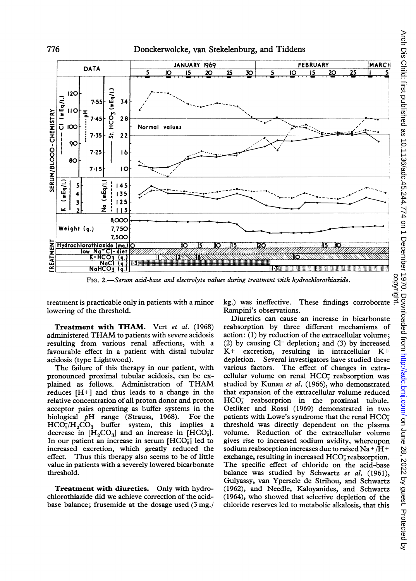



FIG. 2.-Serum acid-base and electrolyte values during treatment with hydrochlorothiazide.

treatment is practicable only in patients with a minor lowering of the threshold.

Treatment with THAM. Vert et al. (1968) administered THAM to patients with severe acidosis resulting from various renal affections, with a favourable effect in a patient with distal tubular acidosis (type Lightwood).

The failure of this therapy in our patient, with pronounced proximal tubular acidosis, can be explained as follows. Administration of THAM reduces  $[H^+]$  and thus leads to a change in the relative concentration of all proton donor and proton acceptor pairs operating as buffer systems in the biological  $\nu$ H range (Strauss, 1968). For the biological  $pH$  range (Strauss, 1968).  $HCO<sub>3</sub>/H<sub>2</sub>CO<sub>3</sub>$  buffer system, this implies a decrease in  $[H<sub>2</sub>CO<sub>3</sub>]$  and an increase in  $[HCO<sub>3</sub>]$ . In our patient an increase in serum  $[HCO<sub>3</sub><sup>-</sup>]$  led to increased excretion, which greatly reduced the effect. Thus this therapy also seems to be of little value in patients with a severely lowered bicarbonate threshold.

Treatment with diuretics. Only with hydrochlorothiazide did we achieve correction of the acidbase balance; frusemide at the dosage used (3 mg./ kg.) was ineffective. These findings corroborate Rampini's observations.

Diuretics can cause an increase in bicarbonate reabsorption by three different mechanisms of action: (1) by reduction of the extracellular volume;  $(2)$  by causing  $Cl^-$  depletion; and  $(3)$  by increased  $K^+$  excretion, resulting in intracellular  $K^+$  depletion. Several investigators have studied these Several investigators have studied these various factors. The effect of changes in extracellular volume on renal  $HCO<sub>3</sub><sup>-</sup>$  reabsorption was studied by Kunau et al. (1966), who demonstrated that expansion of the extracellular volume reduced HCO<sub>3</sub> reabsorption in the proximal tubule. Oetliker and Rossi (1969) demonstrated in two patients with Lowe's syndrome that the renal  $HCO<sub>3</sub>$ threshold was directly dependent on the plasma volume. Reduction of the extracellular volume gives rise to increased sodium avidity, whereupon sodium reabsorption increases due to raised Na <sup>+</sup> /H <sup>+</sup> exchange, resulting in increased  $HCO<sub>3</sub>$  reabsorption. The specific effect of chloride on the acid-base balance was studied by Schwartz et al. (1961), Gulyassy, van Ypersele de Strihou, and Schwartz (1962), and Needle, Kaloyanides, and Schwartz (1964), who showed that selective depletion of the chloride reserves led to metabolic alkalosis, that this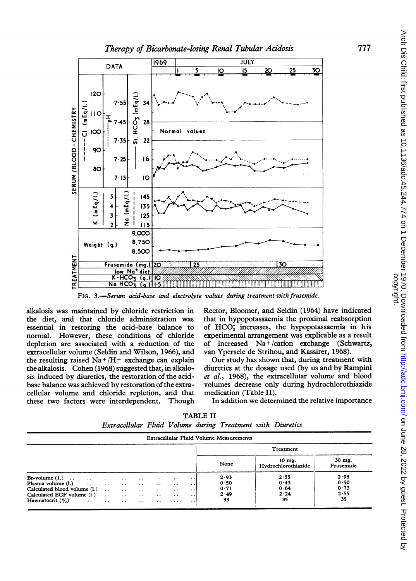

FIG. 3.-Serum acid-base and electrolyte values during treatment with frusemide.

alkalosis was maintained by chloride restriction in the diet, and that chloride administration was essential in restoring the acid-base balance to normal. However, these conditions of chloride depletion are associated with a reduction of the extracellular volume (Seldin and Wilson, 1966), and the resulting raised  $Na + / H +$  exchange can explain the alkalosis. Cohen  $(1968)$  suggested that, in alkalosis induced by diuretics, the restoration of the acidbase balance was achieved by restoration of the extracellular volume and chloride repletion, and that these two factors were interdependent. Though

Rector, Bloomer, and Seldin (1964) have indicated that in hypopotassaemia the proximal reabsorption of HCO; increases, the hypopotassaemia in his experimental arrangement was explicable as a result of increased  $Na + /cation$  exchange (Schwartz, van Ypersele de Strihou, and Kassirer, 1968).

Our study has shown that, during treatment with diuretics at the dosage used (by us and by Rampini et al., 1968), the extracellular volume and blood volumes decrease only during hydrochlorothiazide medication (Table II).

In addition we determined the relative importance

| TABLE II                                                   |  |  |  |  |  |  |  |  |  |
|------------------------------------------------------------|--|--|--|--|--|--|--|--|--|
| Extracellular Fluid Volume during Treatment with Diuretics |  |  |  |  |  |  |  |  |  |

|                                                                                                                                                                                                 |                                                   |                                                                                                                  |                                                     |                                                                                     |                                                                                                                        |                                                                                                            | <b>Extracellular Fluid Volume Measurements</b>                           |                                 |                                    |  |  |
|-------------------------------------------------------------------------------------------------------------------------------------------------------------------------------------------------|---------------------------------------------------|------------------------------------------------------------------------------------------------------------------|-----------------------------------------------------|-------------------------------------------------------------------------------------|------------------------------------------------------------------------------------------------------------------------|------------------------------------------------------------------------------------------------------------|--------------------------------------------------------------------------|---------------------------------|------------------------------------|--|--|
|                                                                                                                                                                                                 |                                                   |                                                                                                                  |                                                     |                                                                                     |                                                                                                                        |                                                                                                            | Treatment                                                                |                                 |                                    |  |  |
|                                                                                                                                                                                                 |                                                   |                                                                                                                  |                                                     |                                                                                     |                                                                                                                        |                                                                                                            | None                                                                     | $10$ mg.<br>Hydrochlorothiazide | 30 mg.<br>Frusemide                |  |  |
| $Br-volume(1.) \dots$<br><b>Contractor</b><br>Calculated blood volume (1.)<br>Calculated ECF volume $(l.)$ .<br>Haematocrit $(\%)$<br>$\mathcal{L}^{\text{max}}$ and $\mathcal{L}^{\text{max}}$ | $\cdots$<br>$\ddot{\phantom{a}}$<br>$\sim$ $\sim$ | $\cdot$ $\cdot$<br>$\cdot$ $\cdot$<br>$\sim 100$ km s $^{-1}$<br>$\sim 100$ km s $^{-1}$<br>$\ddot{\phantom{0}}$ | $\cdot$ $\cdot$<br>$\sim$<br>$\ddotsc$<br>$\cdot$ . | $\ddot{\phantom{0}}$<br>$\cdot$ .<br>$\ddotsc$<br>$\ddot{\phantom{1}}$<br>$\cdot$ . | $\bullet\hspace{0.4mm}\bullet\hspace{0.4mm}$<br>$\ddot{\phantom{0}}$<br>$\ddotsc$<br>$\ddot{\phantom{0}}$<br>$\cdot$ . | $\cdot$ $\cdot$<br>$\ddot{\phantom{1}}$<br>$\ddot{\phantom{0}}$<br>$\cdot$ $\cdot$<br>$\ddot{\phantom{0}}$ | 2.55<br>2.93<br>0.43<br>0.50<br>0.64<br>0.71<br>2.24<br>2.49<br>35<br>33 |                                 | 2.98<br>0.50<br>0.73<br>2.55<br>35 |  |  |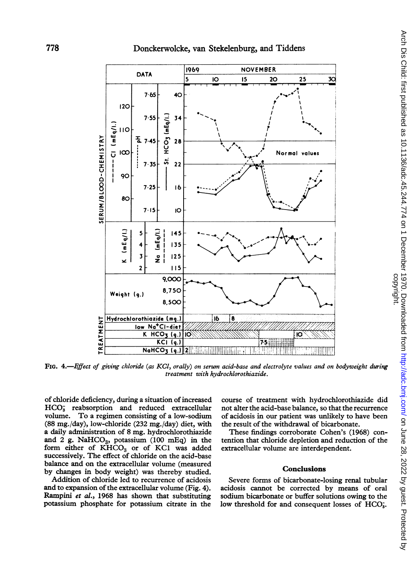

FIG. 4.-Effect of giving chloride (as KCl, orally) on serum acid-base and electrolyte values and on bodyweight during treatment with hydrochlorothiazide.

of chloride deficiency, during a situation of increased  $HCO<sub>3</sub>$  reabsorption and reduced extracellular volume. To a regimen consisting of <sup>a</sup> low-sodium (88 mg./day), low-chloride (232 mg./day) diet, with a daily administration of 8 mg. hydrochlorothiazide and 2 g. Na $HCO<sub>3</sub>$ , potassium (100 mEq) in the form either of  $KHCO<sub>3</sub>$  or of KC1 was added successively. The effect of chloride on the acid-base balance and on the extracellular volume (measured by changes in body weight) was thereby studied.

Addition of chloride led to recurrence of acidosis and to expansion of the extracellular volume (Fig. 4). Rampini et al., 1968 has shown that substituting potassium phosphate for potassium citrate in the course of treatment with hydrochlorothiazide did not alter the acid-base balance, so that the recurrence of acidosis in our patient was unlikely to have been the result of the withdrawal of bicarbonate.

These findings corroborate Cohen's (1968) contention that chloride depletion and reduction of the extracellular volume are interdependent.

#### **Conclusions**

Severe forms of bicarbonate-losing renal tubular acidosis cannot be corrected by means of oral sodium bicarbonate or buffer solutions owing to the low threshold for and consequent losses of HCO<sub>3</sub>.